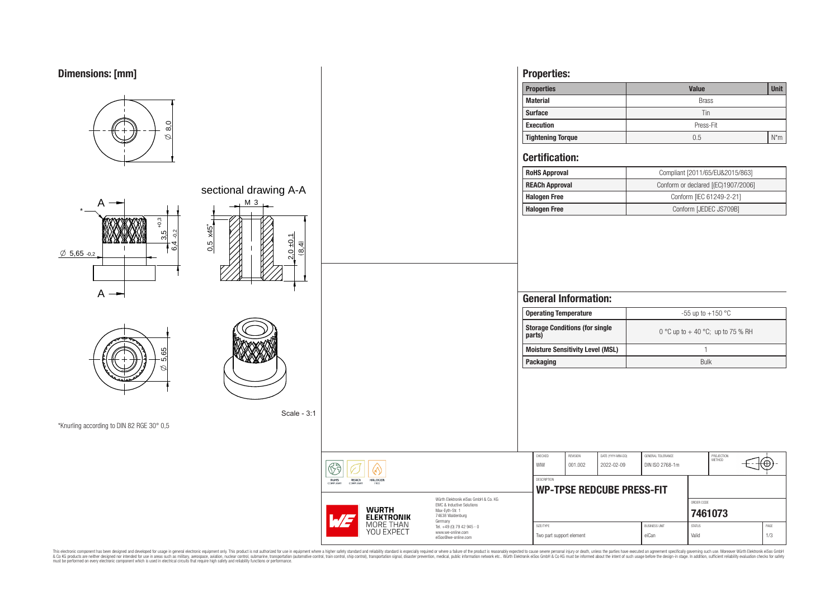# **Dimensions: [mm]**



This electronic component has been designed and developed for usage in general electronic equipment only. This product is not authorized for subserved requipment where a higher selection equipment where a higher selection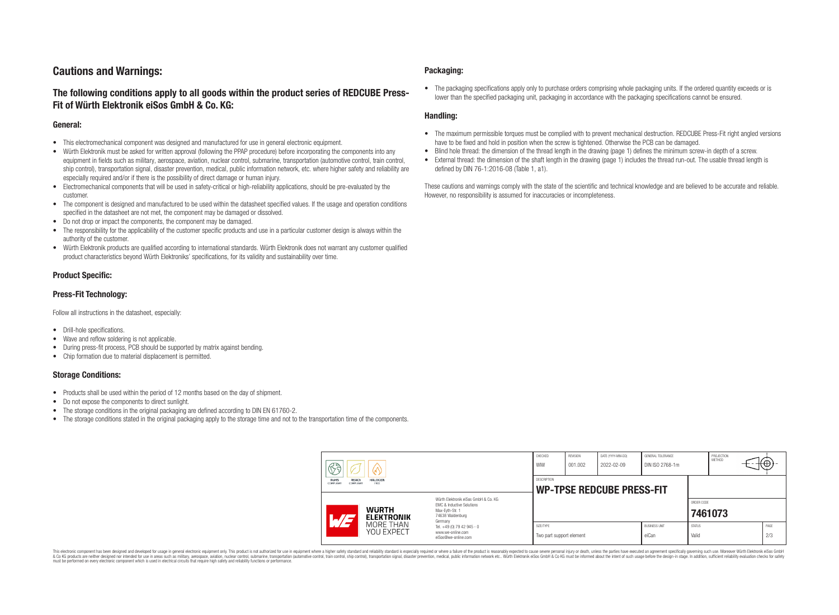# **Cautions and Warnings:**

# **The following conditions apply to all goods within the product series of REDCUBE Press-Fit of Würth Elektronik eiSos GmbH & Co. KG:**

### **General:**

- This electromechanical component was designed and manufactured for use in general electronic equipment.
- Würth Elektronik must be asked for written approval (following the PPAP procedure) before incorporating the components into any equipment in fields such as military, aerospace, aviation, nuclear control, submarine, transportation (automotive control, train control, ship control), transportation signal, disaster prevention, medical, public information network, etc. where higher safety and reliability are especially required and/or if there is the possibility of direct damage or human injury.
- Electromechanical components that will be used in safety-critical or high-reliability applications, should be pre-evaluated by the customer.
- The component is designed and manufactured to be used within the datasheet specified values. If the usage and operation conditions specified in the datasheet are not met, the component may be damaged or dissolved.
- Do not drop or impact the components, the component may be damaged.
- The responsibility for the applicability of the customer specific products and use in a particular customer design is always within the authority of the customer.
- Würth Elektronik products are qualified according to international standards. Würth Elektronik does not warrant any customer qualified product characteristics beyond Würth Elektroniks' specifications, for its validity and sustainability over time.

### **Product Specific:**

### **Press-Fit Technology:**

Follow all instructions in the datasheet, especially:

- Drill-hole specifications.
- Wave and reflow soldering is not applicable.
- During press-fit process, PCB should be supported by matrix against bending.
- Chip formation due to material displacement is permitted.

### **Storage Conditions:**

- Products shall be used within the period of 12 months based on the day of shipment.
- Do not expose the components to direct sunlight.
- The storage conditions in the original packaging are defined according to DIN EN 61760-2.
- The storage conditions stated in the original packaging apply to the storage time and not to the transportation time of the components.

### **Packaging:**

• The packaging specifications apply only to purchase orders comprising whole packaging units. If the ordered quantity exceeds or is lower than the specified packaging unit, packaging in accordance with the packaging specifications cannot be ensured.

### **Handling:**

- The maximum permissible torques must be complied with to prevent mechanical destruction. REDCUBE Press-Fit right angled versions have to be fixed and hold in position when the screw is tightened. Otherwise the PCB can be damaged.
- Blind hole thread: the dimension of the thread length in the drawing (page 1) defines the minimum screw-in depth of a screw.
- External thread: the dimension of the shaft length in the drawing (page 1) includes the thread run-out. The usable thread length is defined by DIN 76-1:2016-08 (Table 1, a1).

These cautions and warnings comply with the state of the scientific and technical knowledge and are believed to be accurate and reliable. However, no responsibility is assumed for inaccuracies or incompleteness.

| H<br>RoHS<br>REACh<br><b>HALOGEN</b><br>COMPLIANT<br>FREE<br><b>COMPLIANT</b> |                                                                                                                                                                                               | CHECKED<br>WIW                                         | <b>REVISION</b><br>001.002 | DATE (YYYY-MM-DD)<br>2022-02-09 | GENERAL TOLERANCE<br>DIN ISO 2768-1m |                        | PROJECTION<br><b>METHOD</b> |  | ι€          |
|-------------------------------------------------------------------------------|-----------------------------------------------------------------------------------------------------------------------------------------------------------------------------------------------|--------------------------------------------------------|----------------------------|---------------------------------|--------------------------------------|------------------------|-----------------------------|--|-------------|
|                                                                               |                                                                                                                                                                                               | <b>DESCRIPTION</b><br><b>WP-TPSE REDCUBE PRESS-FIT</b> |                            |                                 |                                      |                        |                             |  |             |
| <b>WURTH</b><br>AT <sub>3</sub><br><b>ELEKTRONIK</b>                          | Würth Elektronik eiSos GmbH & Co. KG<br>FMC & Inductive Solutions<br>Max-Eyth-Str. 1<br>74638 Waldenburg<br>Germany<br>Tel. +49 (0) 79 42 945 - 0<br>www.we-online.com<br>eiSos@we-online.com |                                                        |                            |                                 |                                      |                        | ORDER CODE<br>7461073       |  |             |
| MORE THAN<br>YOU EXPECT                                                       |                                                                                                                                                                                               | SIZE/TYPE<br>Two part support element                  |                            |                                 | <b>BUSINESS UNIT</b><br>eiCan        | <b>STATUS</b><br>Valid |                             |  | PAGE<br>2/3 |

This electronic component has been designed and developed for usage in general electronic equipment only. This product is not authorized for use in equipment where a higher safety standard and reliability standard si espec & Ook product a label and the membed of the seasuch as marked and as which such a membed and the such assume that income in the seasuch and the simulation and the such assume that include to the such a membed and the such